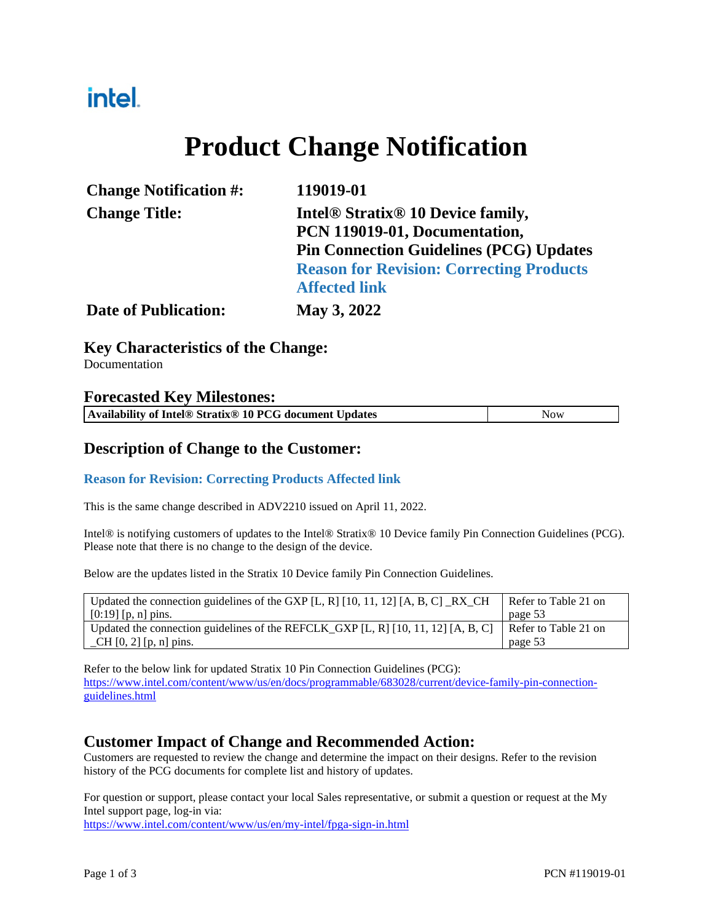# intel.

# **Product Change Notification**

| <b>Change Notification #:</b> | 119019-01                                                                                                                 |  |
|-------------------------------|---------------------------------------------------------------------------------------------------------------------------|--|
| <b>Change Title:</b>          | Intel <sup>®</sup> Stratix <sup>®</sup> 10 Device family,<br>PCN 119019-01, Documentation,                                |  |
|                               | <b>Pin Connection Guidelines (PCG) Updates</b><br><b>Reason for Revision: Correcting Products</b><br><b>Affected link</b> |  |
| <b>Date of Publication:</b>   | May 3, 2022                                                                                                               |  |

### **Key Characteristics of the Change:**

Documentation

#### **Forecasted Key Milestones:**

### **Description of Change to the Customer:**

#### **Reason for Revision: Correcting Products Affected link**

This is the same change described in ADV2210 issued on April 11, 2022.

Intel® is notifying customers of updates to the Intel® Stratix® 10 Device family Pin Connection Guidelines (PCG). Please note that there is no change to the design of the device.

Below are the updates listed in the Stratix 10 Device family Pin Connection Guidelines.

| Updated the connection guidelines of the GXP [L, R] [10, 11, 12] [A, B, C] $\_RX\_CH$ | Refer to Table 21 on |
|---------------------------------------------------------------------------------------|----------------------|
| $[0:19]$ [p, n] pins.                                                                 | page 53              |
| Updated the connection guidelines of the REFCLK_GXP [L, R] [10, 11, 12] [A, B, C]     | Refer to Table 21 on |
| $\Box$ CH [0, 2] [p, n] pins.                                                         | page 53              |

Refer to the below link for updated Stratix 10 Pin Connection Guidelines (PCG): [https://www.intel.com/content/www/us/en/docs/programmable/683028/current/device-family-pin-connection](https://www.intel.com/content/www/us/en/docs/programmable/683028/current/device-family-pin-connection-guidelines.html)[guidelines.html](https://www.intel.com/content/www/us/en/docs/programmable/683028/current/device-family-pin-connection-guidelines.html)

### **Customer Impact of Change and Recommended Action:**

Customers are requested to review the change and determine the impact on their designs. Refer to the revision history of the PCG documents for complete list and history of updates.

For question or support, please contact your local Sales representative, or submit a question or request at the My Intel support page, log-in via:

<https://www.intel.com/content/www/us/en/my-intel/fpga-sign-in.html>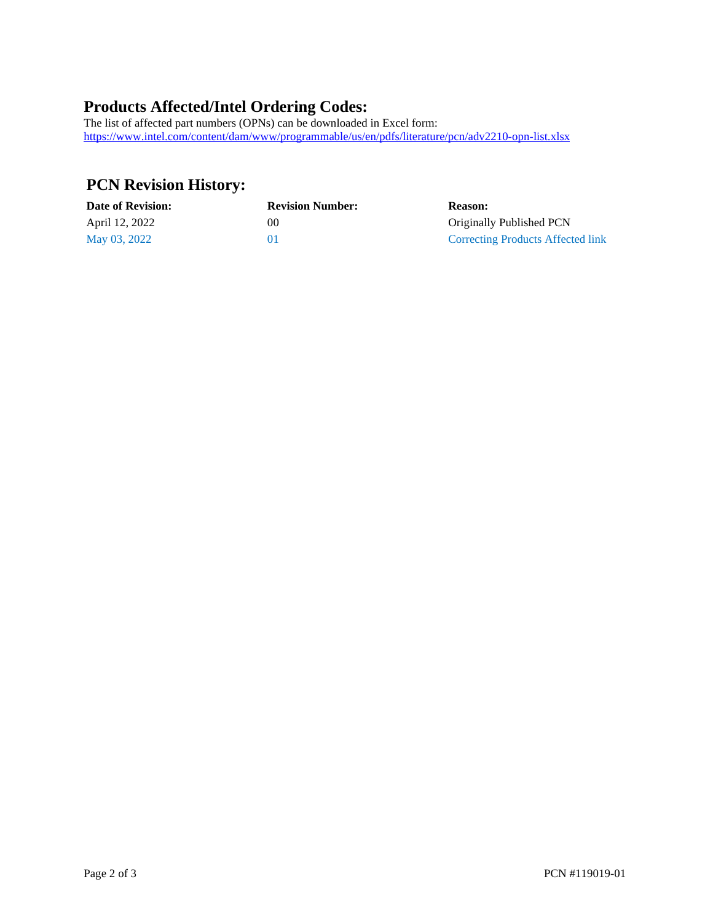## **Products Affected/Intel Ordering Codes:**

The list of affected part numbers (OPNs) can be downloaded in Excel form: <https://www.intel.com/content/dam/www/programmable/us/en/pdfs/literature/pcn/adv2210-opn-list.xlsx>

# **PCN Revision History:**

| <b>Date of Revision:</b> | <b>Revision Number:</b> | <b>Reason:</b>                    |
|--------------------------|-------------------------|-----------------------------------|
| April 12, 2022           | $($ i $()$              | Originally Published PCN          |
| May 03, 2022             |                         | Correcting Products Affected link |